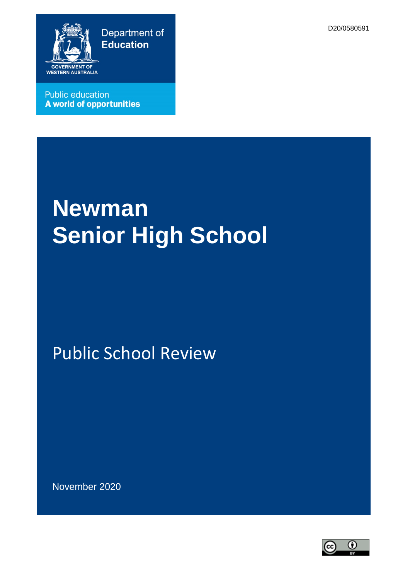D20/0580591



**Public education A world of opportunities** 

# **Newman Senior High School**

Public School Review

November 2020

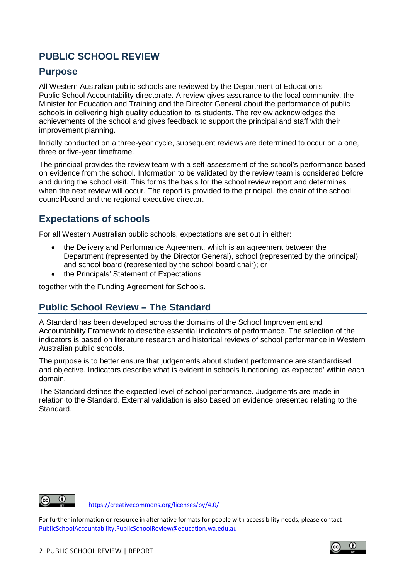# **PUBLIC SCHOOL REVIEW**

#### **Purpose**

All Western Australian public schools are reviewed by the Department of Education's Public School Accountability directorate. A review gives assurance to the local community, the Minister for Education and Training and the Director General about the performance of public schools in delivering high quality education to its students. The review acknowledges the achievements of the school and gives feedback to support the principal and staff with their improvement planning.

Initially conducted on a three-year cycle, subsequent reviews are determined to occur on a one, three or five-year timeframe.

The principal provides the review team with a self-assessment of the school's performance based on evidence from the school. Information to be validated by the review team is considered before and during the school visit. This forms the basis for the school review report and determines when the next review will occur. The report is provided to the principal, the chair of the school council/board and the regional executive director.

### **Expectations of schools**

For all Western Australian public schools, expectations are set out in either:

- the Delivery and Performance Agreement, which is an agreement between the Department (represented by the Director General), school (represented by the principal) and school board (represented by the school board chair); or
- the Principals' Statement of Expectations

together with the Funding Agreement for Schools.

#### **Public School Review – The Standard**

A Standard has been developed across the domains of the School Improvement and Accountability Framework to describe essential indicators of performance. The selection of the indicators is based on literature research and historical reviews of school performance in Western Australian public schools.

The purpose is to better ensure that judgements about student performance are standardised and objective. Indicators describe what is evident in schools functioning 'as expected' within each domain.

The Standard defines the expected level of school performance. Judgements are made in relation to the Standard. External validation is also based on evidence presented relating to the Standard.



<https://creativecommons.org/licenses/by/4.0/>

For further information or resource in alternative formats for people with accessibility needs, please contact [PublicSchoolAccountability.PublicSchoolReview@education.wa.edu.au](mailto:PublicSchoolAccountability.PublicSchoolReview@education.wa.edu.au)

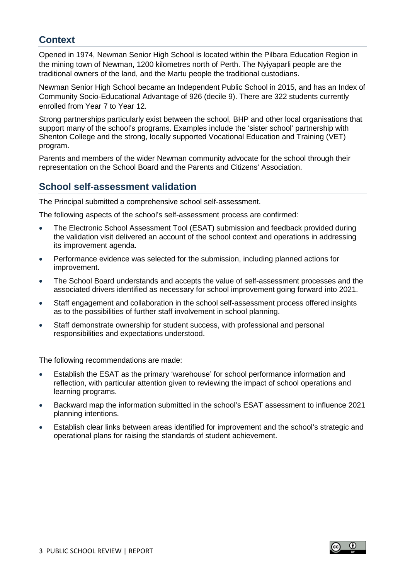### **Context**

Opened in 1974, Newman Senior High School is located within the Pilbara Education Region in the mining town of Newman, 1200 kilometres north of Perth. The Nyiyaparli people are the traditional owners of the land, and the Martu people the traditional custodians.

Newman Senior High School became an Independent Public School in 2015, and has an Index of Community Socio-Educational Advantage of 926 (decile 9). There are 322 students currently enrolled from Year 7 to Year 12.

Strong partnerships particularly exist between the school, BHP and other local organisations that support many of the school's programs. Examples include the 'sister school' partnership with Shenton College and the strong, locally supported Vocational Education and Training (VET) program.

Parents and members of the wider Newman community advocate for the school through their representation on the School Board and the Parents and Citizens' Association.

### **School self-assessment validation**

The Principal submitted a comprehensive school self-assessment.

The following aspects of the school's self-assessment process are confirmed:

- The Electronic School Assessment Tool (ESAT) submission and feedback provided during the validation visit delivered an account of the school context and operations in addressing its improvement agenda.
- Performance evidence was selected for the submission, including planned actions for improvement.
- The School Board understands and accepts the value of self-assessment processes and the associated drivers identified as necessary for school improvement going forward into 2021.
- Staff engagement and collaboration in the school self-assessment process offered insights as to the possibilities of further staff involvement in school planning.
- Staff demonstrate ownership for student success, with professional and personal responsibilities and expectations understood.

The following recommendations are made:

- Establish the ESAT as the primary 'warehouse' for school performance information and reflection, with particular attention given to reviewing the impact of school operations and learning programs.
- Backward map the information submitted in the school's ESAT assessment to influence 2021 planning intentions.
- Establish clear links between areas identified for improvement and the school's strategic and operational plans for raising the standards of student achievement.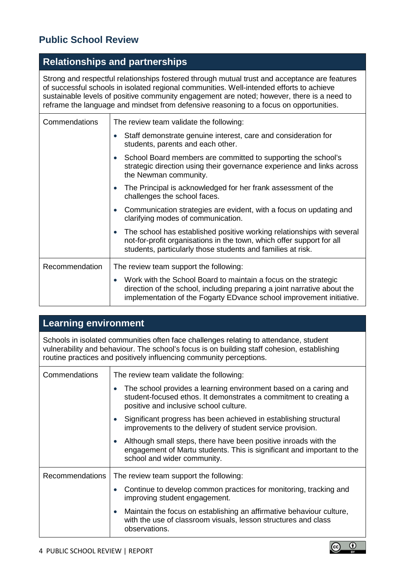# **Public School Review**

# **Relationships and partnerships**

Strong and respectful relationships fostered through mutual trust and acceptance are features of successful schools in isolated regional communities. Well-intended efforts to achieve sustainable levels of positive community engagement are noted; however, there is a need to reframe the language and mindset from defensive reasoning to a focus on opportunities.

| Commendations  | The review team validate the following:                                                                                                                                                                                          |
|----------------|----------------------------------------------------------------------------------------------------------------------------------------------------------------------------------------------------------------------------------|
|                | Staff demonstrate genuine interest, care and consideration for<br>students, parents and each other.                                                                                                                              |
|                | School Board members are committed to supporting the school's<br>$\bullet$<br>strategic direction using their governance experience and links across<br>the Newman community.                                                    |
|                | The Principal is acknowledged for her frank assessment of the<br>$\bullet$<br>challenges the school faces.                                                                                                                       |
|                | Communication strategies are evident, with a focus on updating and<br>$\bullet$<br>clarifying modes of communication.                                                                                                            |
|                | The school has established positive working relationships with several<br>$\bullet$<br>not-for-profit organisations in the town, which offer support for all<br>students, particularly those students and families at risk.      |
| Recommendation | The review team support the following:                                                                                                                                                                                           |
|                | Work with the School Board to maintain a focus on the strategic<br>$\bullet$<br>direction of the school, including preparing a joint narrative about the<br>implementation of the Fogarty EDvance school improvement initiative. |

# **Learning environment**

Schools in isolated communities often face challenges relating to attendance, student vulnerability and behaviour. The school's focus is on building staff cohesion, establishing routine practices and positively influencing community perceptions.

| Commendations          | The review team validate the following:                                                                                                                                               |
|------------------------|---------------------------------------------------------------------------------------------------------------------------------------------------------------------------------------|
|                        | The school provides a learning environment based on a caring and<br>student-focused ethos. It demonstrates a commitment to creating a<br>positive and inclusive school culture.       |
|                        | Significant progress has been achieved in establishing structural<br>improvements to the delivery of student service provision.                                                       |
|                        | Although small steps, there have been positive inroads with the<br>$\bullet$<br>engagement of Martu students. This is significant and important to the<br>school and wider community. |
| <b>Recommendations</b> | The review team support the following:                                                                                                                                                |
|                        | Continue to develop common practices for monitoring, tracking and<br>improving student engagement.                                                                                    |
|                        | Maintain the focus on establishing an affirmative behaviour culture,<br>$\bullet$<br>with the use of classroom visuals, lesson structures and class<br>observations.                  |

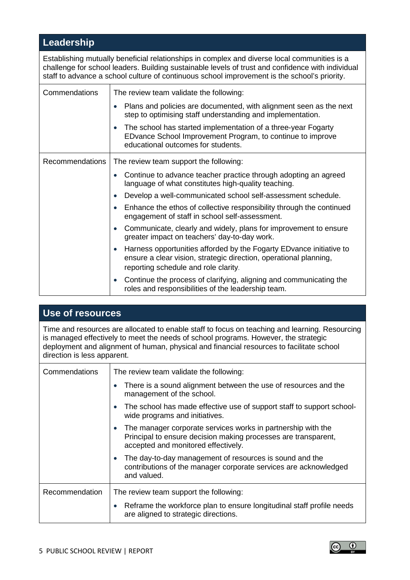# **Leadership**

Establishing mutually beneficial relationships in complex and diverse local communities is a challenge for school leaders. Building sustainable levels of trust and confidence with individual staff to advance a school culture of continuous school improvement is the school's priority.

| Commendations   | The review team validate the following:                                                                                                                                           |
|-----------------|-----------------------------------------------------------------------------------------------------------------------------------------------------------------------------------|
|                 | Plans and policies are documented, with alignment seen as the next<br>step to optimising staff understanding and implementation.                                                  |
|                 | The school has started implementation of a three-year Fogarty<br>EDvance School Improvement Program, to continue to improve<br>educational outcomes for students.                 |
| Recommendations | The review team support the following:                                                                                                                                            |
|                 | Continue to advance teacher practice through adopting an agreed<br>$\bullet$<br>language of what constitutes high-quality teaching.                                               |
|                 | Develop a well-communicated school self-assessment schedule.                                                                                                                      |
|                 | Enhance the ethos of collective responsibility through the continued<br>engagement of staff in school self-assessment.                                                            |
|                 | Communicate, clearly and widely, plans for improvement to ensure<br>greater impact on teachers' day-to-day work.                                                                  |
|                 | Harness opportunities afforded by the Fogarty ED vance initiative to<br>ensure a clear vision, strategic direction, operational planning,<br>reporting schedule and role clarity. |
|                 | Continue the process of clarifying, aligning and communicating the<br>$\bullet$<br>roles and responsibilities of the leadership team.                                             |

# **Use of resources**

Time and resources are allocated to enable staff to focus on teaching and learning. Resourcing is managed effectively to meet the needs of school programs. However, the strategic deployment and alignment of human, physical and financial resources to facilitate school direction is less apparent.

| Commendations  | The review team validate the following:                                                                                                                                            |
|----------------|------------------------------------------------------------------------------------------------------------------------------------------------------------------------------------|
|                | There is a sound alignment between the use of resources and the<br>management of the school.                                                                                       |
|                | The school has made effective use of support staff to support school-<br>$\bullet$<br>wide programs and initiatives.                                                               |
|                | The manager corporate services works in partnership with the<br>$\bullet$<br>Principal to ensure decision making processes are transparent,<br>accepted and monitored effectively. |
|                | The day-to-day management of resources is sound and the<br>$\bullet$<br>contributions of the manager corporate services are acknowledged<br>and valued.                            |
| Recommendation | The review team support the following:                                                                                                                                             |
|                | Reframe the workforce plan to ensure longitudinal staff profile needs<br>are aligned to strategic directions.                                                                      |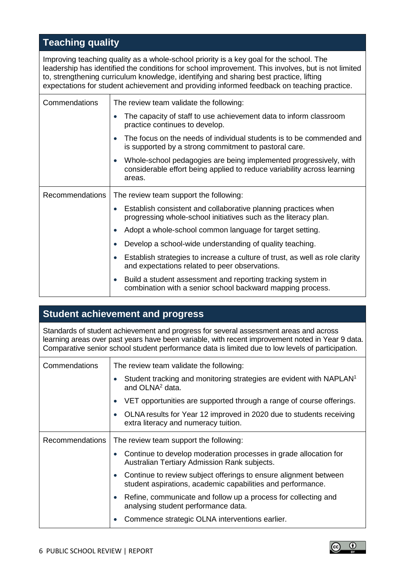# **Teaching quality**

Improving teaching quality as a whole-school priority is a key goal for the school. The leadership has identified the conditions for school improvement. This involves, but is not limited to, strengthening curriculum knowledge, identifying and sharing best practice, lifting expectations for student achievement and providing informed feedback on teaching practice.

| Commendations          | The review team validate the following:                                                                                                                             |
|------------------------|---------------------------------------------------------------------------------------------------------------------------------------------------------------------|
|                        | The capacity of staff to use achievement data to inform classroom<br>practice continues to develop.                                                                 |
|                        | The focus on the needs of individual students is to be commended and<br>$\bullet$<br>is supported by a strong commitment to pastoral care.                          |
|                        | Whole-school pedagogies are being implemented progressively, with<br>$\bullet$<br>considerable effort being applied to reduce variability across learning<br>areas. |
| <b>Recommendations</b> | The review team support the following:                                                                                                                              |
|                        | Establish consistent and collaborative planning practices when<br>$\bullet$<br>progressing whole-school initiatives such as the literacy plan.                      |
|                        | Adopt a whole-school common language for target setting.<br>$\bullet$                                                                                               |
|                        | Develop a school-wide understanding of quality teaching.<br>$\bullet$                                                                                               |
|                        | Establish strategies to increase a culture of trust, as well as role clarity<br>$\bullet$<br>and expectations related to peer observations.                         |
|                        | Build a student assessment and reporting tracking system in<br>$\bullet$<br>combination with a senior school backward mapping process.                              |

### **Student achievement and progress**

Standards of student achievement and progress for several assessment areas and across learning areas over past years have been variable, with recent improvement noted in Year 9 data. Comparative senior school student performance data is limited due to low levels of participation.

| Commendations          | The review team validate the following:                                                                                                      |
|------------------------|----------------------------------------------------------------------------------------------------------------------------------------------|
|                        | Student tracking and monitoring strategies are evident with NAPLAN <sup>1</sup><br>and OLNA <sup>2</sup> data.                               |
|                        | VET opportunities are supported through a range of course offerings.<br>$\bullet$                                                            |
|                        | OLNA results for Year 12 improved in 2020 due to students receiving<br>$\bullet$<br>extra literacy and numeracy tuition.                     |
| <b>Recommendations</b> | The review team support the following:                                                                                                       |
|                        | Continue to develop moderation processes in grade allocation for<br>$\bullet$<br>Australian Tertiary Admission Rank subjects.                |
|                        | Continue to review subject offerings to ensure alignment between<br>$\bullet$<br>student aspirations, academic capabilities and performance. |
|                        | Refine, communicate and follow up a process for collecting and<br>$\bullet$<br>analysing student performance data.                           |
|                        | Commence strategic OLNA interventions earlier.                                                                                               |